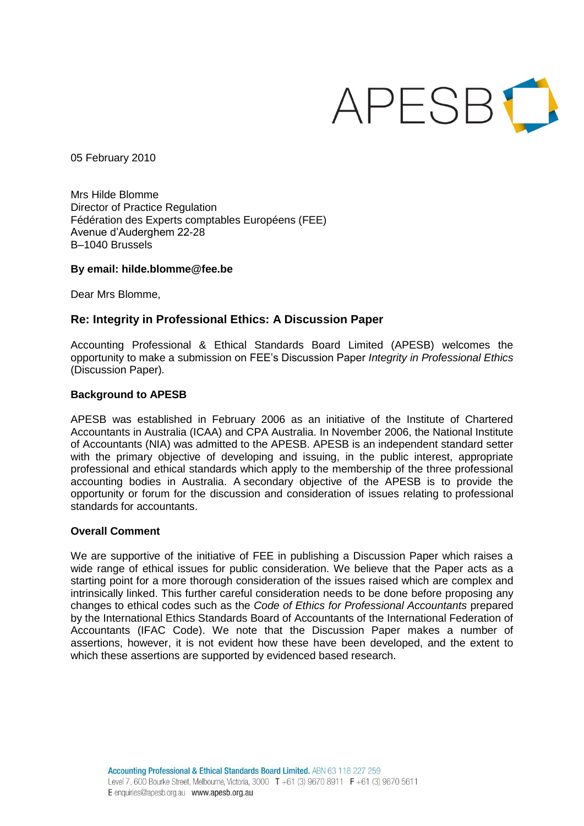# APESBIL

05 February 2010

Mrs Hilde Blomme Director of Practice Regulation Fédération des Experts comptables Européens (FEE) Avenue d"Auderghem 22-28 B–1040 Brussels

# **By email: hilde.blomme@fee.be**

Dear Mrs Blomme,

# **Re: Integrity in Professional Ethics: A Discussion Paper**

Accounting Professional & Ethical Standards Board Limited (APESB) welcomes the opportunity to make a submission on FEE"s Discussion Paper *Integrity in Professional Ethics* (Discussion Paper)*.*

# **Background to APESB**

APESB was established in February 2006 as an initiative of the Institute of Chartered Accountants in Australia (ICAA) and CPA Australia. In November 2006, the National Institute of Accountants (NIA) was admitted to the APESB. APESB is an independent standard setter with the primary objective of developing and issuing, in the public interest, appropriate professional and ethical standards which apply to the membership of the three professional accounting bodies in Australia. A secondary objective of the APESB is to provide the opportunity or forum for the discussion and consideration of issues relating to professional standards for accountants.

# **Overall Comment**

We are supportive of the initiative of FEE in publishing a Discussion Paper which raises a wide range of ethical issues for public consideration. We believe that the Paper acts as a starting point for a more thorough consideration of the issues raised which are complex and intrinsically linked. This further careful consideration needs to be done before proposing any changes to ethical codes such as the *Code of Ethics for Professional Accountants* prepared by the International Ethics Standards Board of Accountants of the International Federation of Accountants (IFAC Code). We note that the Discussion Paper makes a number of assertions, however, it is not evident how these have been developed, and the extent to which these assertions are supported by evidenced based research.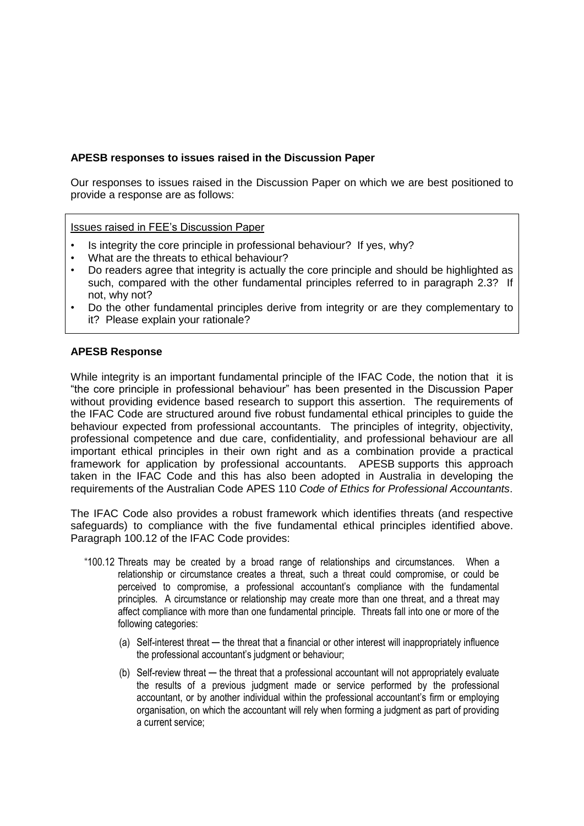# **APESB responses to issues raised in the Discussion Paper**

Our responses to issues raised in the Discussion Paper on which we are best positioned to provide a response are as follows:

### Issues raised in FEE"s Discussion Paper

- Is integrity the core principle in professional behaviour? If yes, why?
- What are the threats to ethical behaviour?
- Do readers agree that integrity is actually the core principle and should be highlighted as such, compared with the other fundamental principles referred to in paragraph 2.3? If not, why not?
- Do the other fundamental principles derive from integrity or are they complementary to it? Please explain your rationale?

### **APESB Response**

While integrity is an important fundamental principle of the IFAC Code, the notion that it is "the core principle in professional behaviour" has been presented in the Discussion Paper without providing evidence based research to support this assertion. The requirements of the IFAC Code are structured around five robust fundamental ethical principles to guide the behaviour expected from professional accountants. The principles of integrity, objectivity, professional competence and due care, confidentiality, and professional behaviour are all important ethical principles in their own right and as a combination provide a practical framework for application by professional accountants. APESB supports this approach taken in the IFAC Code and this has also been adopted in Australia in developing the requirements of the Australian Code APES 110 *Code of Ethics for Professional Accountants*.

The IFAC Code also provides a robust framework which identifies threats (and respective safeguards) to compliance with the five fundamental ethical principles identified above. Paragraph 100.12 of the IFAC Code provides:

- "100.12 Threats may be created by a broad range of relationships and circumstances. When a relationship or circumstance creates a threat, such a threat could compromise, or could be perceived to compromise, a professional accountant's compliance with the fundamental principles. A circumstance or relationship may create more than one threat, and a threat may affect compliance with more than one fundamental principle. Threats fall into one or more of the following categories:
	- (a) Self-interest threat the threat that a financial or other interest will inappropriately influence the professional accountant's judgment or behaviour;
	- (b) Self-review threat ─ the threat that a professional accountant will not appropriately evaluate the results of a previous judgment made or service performed by the professional accountant, or by another individual within the professional accountant's firm or employing organisation, on which the accountant will rely when forming a judgment as part of providing a current service;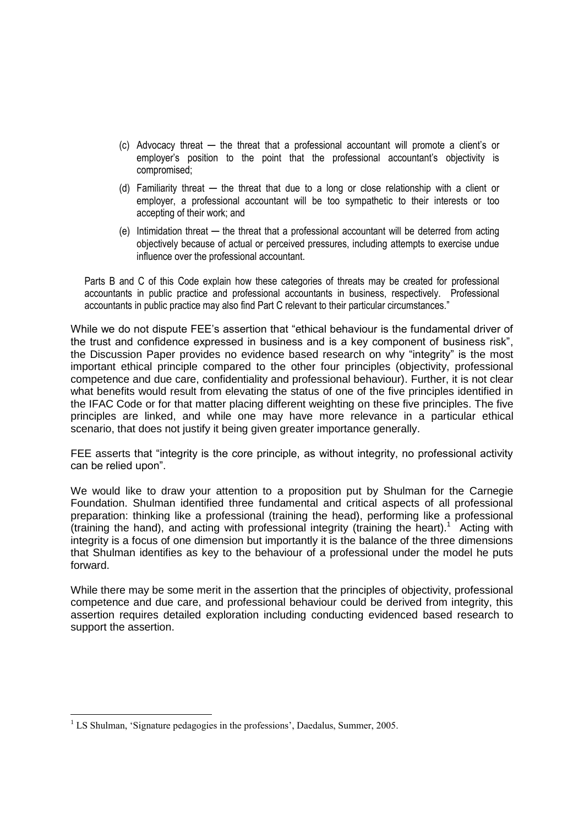- (c) Advocacy threat ─ the threat that a professional accountant will promote a client's or employer's position to the point that the professional accountant's objectivity is compromised;
- (d) Familiarity threat  $-$  the threat that due to a long or close relationship with a client or employer, a professional accountant will be too sympathetic to their interests or too accepting of their work; and
- (e) Intimidation threat ─ the threat that a professional accountant will be deterred from acting objectively because of actual or perceived pressures, including attempts to exercise undue influence over the professional accountant.

Parts B and C of this Code explain how these categories of threats may be created for professional accountants in public practice and professional accountants in business, respectively. Professional accountants in public practice may also find Part C relevant to their particular circumstances."

While we do not dispute FEE"s assertion that "ethical behaviour is the fundamental driver of the trust and confidence expressed in business and is a key component of business risk", the Discussion Paper provides no evidence based research on why "integrity" is the most important ethical principle compared to the other four principles (objectivity, professional competence and due care, confidentiality and professional behaviour). Further, it is not clear what benefits would result from elevating the status of one of the five principles identified in the IFAC Code or for that matter placing different weighting on these five principles. The five principles are linked, and while one may have more relevance in a particular ethical scenario, that does not justify it being given greater importance generally.

FEE asserts that "integrity is the core principle, as without integrity, no professional activity can be relied upon".

We would like to draw your attention to a proposition put by Shulman for the Carnegie Foundation. Shulman identified three fundamental and critical aspects of all professional preparation: thinking like a professional (training the head), performing like a professional (training the hand), and acting with professional integrity (training the heart).<sup>1</sup> Acting with integrity is a focus of one dimension but importantly it is the balance of the three dimensions that Shulman identifies as key to the behaviour of a professional under the model he puts forward.

While there may be some merit in the assertion that the principles of objectivity, professional competence and due care, and professional behaviour could be derived from integrity, this assertion requires detailed exploration including conducting evidenced based research to support the assertion.

<u>.</u>

 $<sup>1</sup>$  LS Shulman, 'Signature pedagogies in the professions', Daedalus, Summer, 2005.</sup>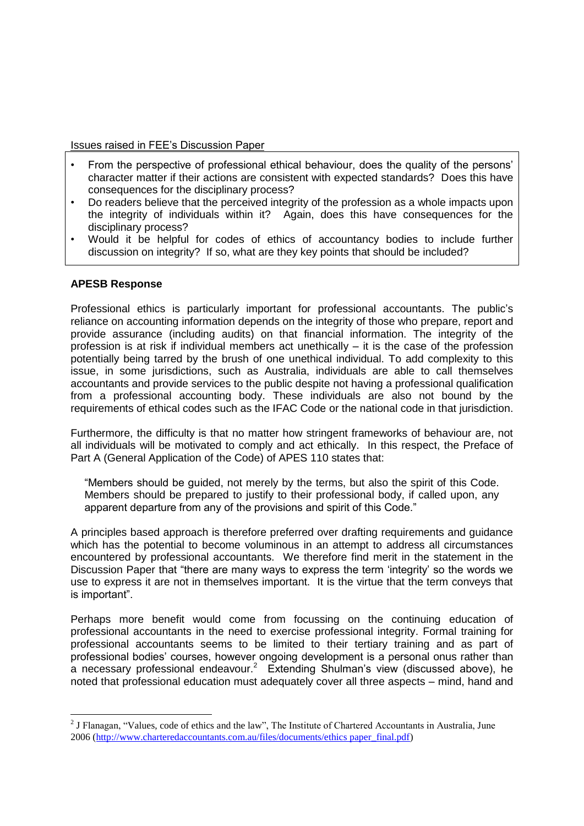Issues raised in FEE"s Discussion Paper

- From the perspective of professional ethical behaviour, does the quality of the persons" character matter if their actions are consistent with expected standards? Does this have consequences for the disciplinary process?
- Do readers believe that the perceived integrity of the profession as a whole impacts upon the integrity of individuals within it? Again, does this have consequences for the disciplinary process?
- Would it be helpful for codes of ethics of accountancy bodies to include further discussion on integrity? If so, what are they key points that should be included?

### **APESB Response**

<u>.</u>

Professional ethics is particularly important for professional accountants. The public's reliance on accounting information depends on the integrity of those who prepare, report and provide assurance (including audits) on that financial information. The integrity of the profession is at risk if individual members act unethically – it is the case of the profession potentially being tarred by the brush of one unethical individual. To add complexity to this issue, in some jurisdictions, such as Australia, individuals are able to call themselves accountants and provide services to the public despite not having a professional qualification from a professional accounting body. These individuals are also not bound by the requirements of ethical codes such as the IFAC Code or the national code in that jurisdiction.

Furthermore, the difficulty is that no matter how stringent frameworks of behaviour are, not all individuals will be motivated to comply and act ethically. In this respect, the Preface of Part A (General Application of the Code) of APES 110 states that:

"Members should be guided, not merely by the terms, but also the spirit of this Code. Members should be prepared to justify to their professional body, if called upon, any apparent departure from any of the provisions and spirit of this Code."

A principles based approach is therefore preferred over drafting requirements and guidance which has the potential to become voluminous in an attempt to address all circumstances encountered by professional accountants. We therefore find merit in the statement in the Discussion Paper that "there are many ways to express the term "integrity" so the words we use to express it are not in themselves important. It is the virtue that the term conveys that is important".

Perhaps more benefit would come from focussing on the continuing education of professional accountants in the need to exercise professional integrity. Formal training for professional accountants seems to be limited to their tertiary training and as part of professional bodies" courses, however ongoing development is a personal onus rather than a necessary professional endeavour.<sup>2</sup> Extending Shulman's view (discussed above), he noted that professional education must adequately cover all three aspects – mind, hand and

<sup>&</sup>lt;sup>2</sup> J Flanagan, "Values, code of ethics and the law", The Institute of Chartered Accountants in Australia, June 2006 [\(http://www.charteredaccountants.com.au/files/documents/ethics paper\\_final.pdf\)](http://www.charteredaccountants.com.au/files/documents/ethics%20paper_final.pdf)